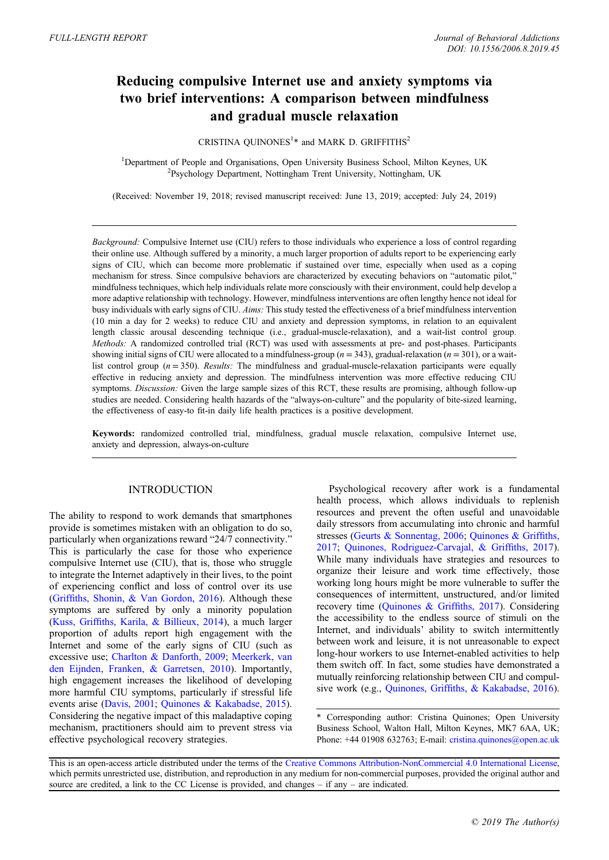# Reducing compulsive Internet use and anxiety symptoms via two brief interventions: A comparison between mindfulness and gradual muscle relaxation

CRISTINA QUINONES<sup>1</sup>\* and MARK D. GRIFFITHS<sup>2</sup>

<sup>1</sup>Department of People and Organisations, Open University Business School, Milton Keynes, UK <sup>2</sup>Peychology Department, Nottingham Trent University, Nottingham UK <sup>2</sup>Psychology Department, Nottingham Trent University, Nottingham, UK

(Received: November 19, 2018; revised manuscript received: June 13, 2019; accepted: July 24, 2019)

Background: Compulsive Internet use (CIU) refers to those individuals who experience a loss of control regarding their online use. Although suffered by a minority, a much larger proportion of adults report to be experiencing early signs of CIU, which can become more problematic if sustained over time, especially when used as a coping mechanism for stress. Since compulsive behaviors are characterized by executing behaviors on "automatic pilot," mindfulness techniques, which help individuals relate more consciously with their environment, could help develop a more adaptive relationship with technology. However, mindfulness interventions are often lengthy hence not ideal for busy individuals with early signs of CIU. Aims: This study tested the effectiveness of a brief mindfulness intervention (10 min a day for 2 weeks) to reduce CIU and anxiety and depression symptoms, in relation to an equivalent length classic arousal descending technique (i.e., gradual-muscle-relaxation), and a wait-list control group. Methods: A randomized controlled trial (RCT) was used with assessments at pre- and post-phases. Participants showing initial signs of CIU were allocated to a mindfulness-group ( $n = 343$ ), gradual-relaxation ( $n = 301$ ), or a waitlist control group ( $n = 350$ ). Results: The mindfulness and gradual-muscle-relaxation participants were equally effective in reducing anxiety and depression. The mindfulness intervention was more effective reducing CIU symptoms. Discussion: Given the large sample sizes of this RCT, these results are promising, although follow-up studies are needed. Considering health hazards of the "always-on-culture" and the popularity of bite-sized learning, the effectiveness of easy-to fit-in daily life health practices is a positive development.

Keywords: randomized controlled trial, mindfulness, gradual muscle relaxation, compulsive Internet use, anxiety and depression, always-on-culture

## INTRODUCTION

The ability to respond to work demands that smartphones provide is sometimes mistaken with an obligation to do so, particularly when organizations reward "24/7 connectivity." This is particularly the case for those who experience compulsive Internet use (CIU), that is, those who struggle to integrate the Internet adaptively in their lives, to the point of experiencing conflict and loss of control over its use (Griffi[ths, Shonin, & Van Gordon, 2016](#page-5-0)). Although these symptoms are suffered by only a minority population (Kuss, Griffi[ths, Karila, & Billieux, 2014\)](#page-6-0), a much larger proportion of adults report high engagement with the Internet and some of the early signs of CIU (such as excessive use; [Charlton & Danforth, 2009](#page-5-0); [Meerkerk, van](#page-6-0) [den Eijnden, Franken, & Garretsen, 2010\)](#page-6-0). Importantly, high engagement increases the likelihood of developing more harmful CIU symptoms, particularly if stressful life events arise [\(Davis, 2001](#page-5-0); [Quinones & Kakabadse, 2015\)](#page-6-0). Considering the negative impact of this maladaptive coping mechanism, practitioners should aim to prevent stress via effective psychological recovery strategies.

Psychological recovery after work is a fundamental health process, which allows individuals to replenish resources and prevent the often useful and unavoidable daily stressors from accumulating into chronic and harmful stresses ([Geurts & Sonnentag, 2006;](#page-5-0) [Quinones & Grif](#page-6-0)fiths, [2017;](#page-6-0) [Quinones, Rodriguez-Carvajal, & Grif](#page-6-0)fiths, 2017). While many individuals have strategies and resources to organize their leisure and work time effectively, those working long hours might be more vulnerable to suffer the consequences of intermittent, unstructured, and/or limited recovery time ([Quinones & Grif](#page-6-0)fiths, 2017). Considering the accessibility to the endless source of stimuli on the Internet, and individuals' ability to switch intermittently between work and leisure, it is not unreasonable to expect long-hour workers to use Internet-enabled activities to help them switch off. In fact, some studies have demonstrated a mutually reinforcing relationship between CIU and compulsive work (e.g., Quinones, Griffi[ths, & Kakabadse, 2016](#page-6-0)).

\* Corresponding author: Cristina Quinones; Open University Business School, Walton Hall, Milton Keynes, MK7 6AA, UK; Phone: +44 01908 632763; E-mail: [cristina.quinones@open.ac.uk](mailto:cristina.quinones@open.ac.uk)

This is an open-access article distributed under the terms of the [Creative Commons Attribution-NonCommercial 4.0 International License,](http://creativecommons.org/licenses/by-nc/4.0/) which permits unrestricted use, distribution, and reproduction in any medium for non-commercial purposes, provided the original author and source are credited, a link to the CC License is provided, and changes – if any – are indicated.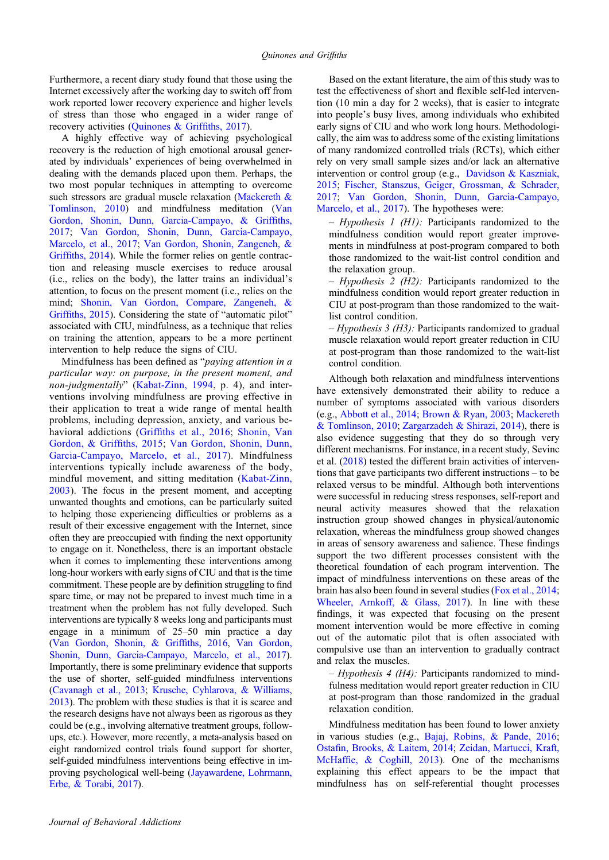Furthermore, a recent diary study found that those using the Internet excessively after the working day to switch off from work reported lower recovery experience and higher levels of stress than those who engaged in a wider range of recovery activities ([Quinones & Grif](#page-6-0)fiths, 2017).

A highly effective way of achieving psychological recovery is the reduction of high emotional arousal generated by individuals' experiences of being overwhelmed in dealing with the demands placed upon them. Perhaps, the two most popular techniques in attempting to overcome such stressors are gradual muscle relaxation [\(Mackereth &](#page-6-0) [Tomlinson, 2010\)](#page-6-0) and mindfulness meditation [\(Van](#page-6-0) [Gordon, Shonin, Dunn, Garcia-Campayo, & Grif](#page-6-0)fiths, [2017](#page-6-0); [Van Gordon, Shonin, Dunn, Garcia-Campayo,](#page-6-0) [Marcelo, et al., 2017](#page-6-0); [Van Gordon, Shonin, Zangeneh, &](#page-6-0) Griffi[ths, 2014](#page-6-0)). While the former relies on gentle contraction and releasing muscle exercises to reduce arousal (i.e., relies on the body), the latter trains an individual's attention, to focus on the present moment (i.e., relies on the mind; [Shonin, Van Gordon, Compare, Zangeneh, &](#page-6-0) Griffi[ths, 2015](#page-6-0)). Considering the state of "automatic pilot" associated with CIU, mindfulness, as a technique that relies on training the attention, appears to be a more pertinent intervention to help reduce the signs of CIU.

Mindfulness has been defined as "paying attention in a particular way: on purpose, in the present moment, and non-judgmentally" [\(Kabat-Zinn, 1994](#page-6-0), p. 4), and interventions involving mindfulness are proving effective in their application to treat a wide range of mental health problems, including depression, anxiety, and various behavioral addictions (Griffi[ths et al., 2016](#page-5-0); [Shonin, Van](#page-6-0) [Gordon, & Grif](#page-6-0)fiths, 2015; [Van Gordon, Shonin, Dunn,](#page-6-0) [Garcia-Campayo, Marcelo, et al., 2017](#page-6-0)). Mindfulness interventions typically include awareness of the body, mindful movement, and sitting meditation ([Kabat-Zinn,](#page-6-0) [2003\)](#page-6-0). The focus in the present moment, and accepting unwanted thoughts and emotions, can be particularly suited to helping those experiencing difficulties or problems as a result of their excessive engagement with the Internet, since often they are preoccupied with finding the next opportunity to engage on it. Nonetheless, there is an important obstacle when it comes to implementing these interventions among long-hour workers with early signs of CIU and that is the time commitment. These people are by definition struggling to find spare time, or may not be prepared to invest much time in a treatment when the problem has not fully developed. Such interventions are typically 8 weeks long and participants must engage in a minimum of 25–50 min practice a day [\(Van Gordon, Shonin, & Grif](#page-6-0)fiths, 2016, [Van Gordon,](#page-6-0) [Shonin, Dunn, Garcia-Campayo, Marcelo, et al., 2017](#page-6-0)). Importantly, there is some preliminary evidence that supports the use of shorter, self-guided mindfulness interventions [\(Cavanagh et al., 2013;](#page-5-0) [Krusche, Cyhlarova, & Williams,](#page-6-0) [2013\)](#page-6-0). The problem with these studies is that it is scarce and the research designs have not always been as rigorous as they could be (e.g., involving alternative treatment groups, followups, etc.). However, more recently, a meta-analysis based on eight randomized control trials found support for shorter, self-guided mindfulness interventions being effective in improving psychological well-being ([Jayawardene, Lohrmann,](#page-6-0) [Erbe, & Torabi, 2017\)](#page-6-0).

Based on the extant literature, the aim of this study was to test the effectiveness of short and flexible self-led intervention (10 min a day for 2 weeks), that is easier to integrate into people's busy lives, among individuals who exhibited early signs of CIU and who work long hours. Methodologically, the aim was to address some of the existing limitations of many randomized controlled trials (RCTs), which either rely on very small sample sizes and/or lack an alternative intervention or control group (e.g., [Davidson & Kaszniak,](#page-5-0) [2015;](#page-5-0) [Fischer, Stanszus, Geiger, Grossman, & Schrader,](#page-5-0) [2017;](#page-5-0) [Van Gordon, Shonin, Dunn, Garcia-Campayo,](#page-6-0) [Marcelo, et al., 2017\)](#page-6-0). The hypotheses were:

 $-$  Hypothesis 1 (H1): Participants randomized to the mindfulness condition would report greater improvements in mindfulness at post-program compared to both those randomized to the wait-list control condition and the relaxation group.

 $-$  *Hypothesis 2 (H2)*: Participants randomized to the mindfulness condition would report greater reduction in CIU at post-program than those randomized to the waitlist control condition.

 $-Hypothesis$  3 (H3): Participants randomized to gradual muscle relaxation would report greater reduction in CIU at post-program than those randomized to the wait-list control condition.

Although both relaxation and mindfulness interventions have extensively demonstrated their ability to reduce a number of symptoms associated with various disorders (e.g., [Abbott et al., 2014](#page-5-0); [Brown & Ryan, 2003](#page-5-0); [Mackereth](#page-6-0) [& Tomlinson, 2010](#page-6-0); [Zargarzadeh & Shirazi, 2014\)](#page-6-0), there is also evidence suggesting that they do so through very different mechanisms. For instance, in a recent study, Sevinc et al. [\(2018](#page-6-0)) tested the different brain activities of interventions that gave participants two different instructions – to be relaxed versus to be mindful. Although both interventions were successful in reducing stress responses, self-report and neural activity measures showed that the relaxation instruction group showed changes in physical/autonomic relaxation, whereas the mindfulness group showed changes in areas of sensory awareness and salience. These findings support the two different processes consistent with the theoretical foundation of each program intervention. The impact of mindfulness interventions on these areas of the brain has also been found in several studies ([Fox et al., 2014](#page-5-0); [Wheeler, Arnkoff, & Glass, 2017](#page-6-0)). In line with these findings, it was expected that focusing on the present moment intervention would be more effective in coming out of the automatic pilot that is often associated with compulsive use than an intervention to gradually contract and relax the muscles.

 $-$  *Hypothesis 4 (H4)*: Participants randomized to mindfulness meditation would report greater reduction in CIU at post-program than those randomized in the gradual relaxation condition.

Mindfulness meditation has been found to lower anxiety in various studies (e.g., [Bajaj, Robins, & Pande, 2016](#page-5-0); Ostafi[n, Brooks, & Laitem, 2014](#page-6-0); [Zeidan, Martucci, Kraft,](#page-6-0) McHaffi[e, & Coghill, 2013\)](#page-6-0). One of the mechanisms explaining this effect appears to be the impact that mindfulness has on self-referential thought processes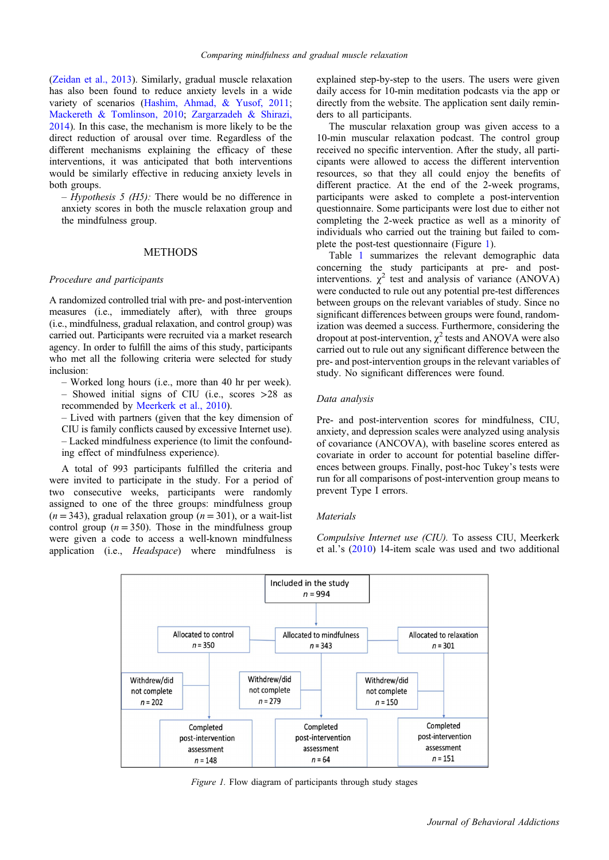[\(Zeidan et al., 2013\)](#page-6-0). Similarly, gradual muscle relaxation has also been found to reduce anxiety levels in a wide variety of scenarios ([Hashim, Ahmad, & Yusof, 2011;](#page-5-0) [Mackereth & Tomlinson, 2010;](#page-6-0) [Zargarzadeh & Shirazi,](#page-6-0) [2014](#page-6-0)). In this case, the mechanism is more likely to be the direct reduction of arousal over time. Regardless of the different mechanisms explaining the efficacy of these interventions, it was anticipated that both interventions would be similarly effective in reducing anxiety levels in both groups.

– *Hypothesis 5 (H5)*: There would be no difference in anxiety scores in both the muscle relaxation group and the mindfulness group.

# METHODS

#### Procedure and participants

A randomized controlled trial with pre- and post-intervention measures (i.e., immediately after), with three groups (i.e., mindfulness, gradual relaxation, and control group) was carried out. Participants were recruited via a market research agency. In order to fulfill the aims of this study, participants who met all the following criteria were selected for study inclusion:

- Worked long hours (i.e., more than 40 hr per week). – Showed initial signs of CIU (i.e., scores >28 as recommended by [Meerkerk et al., 2010\)](#page-6-0).
- Lived with partners (given that the key dimension of CIU is family conflicts caused by excessive Internet use). – Lacked mindfulness experience (to limit the confound-

ing effect of mindfulness experience).

A total of 993 participants fulfilled the criteria and were invited to participate in the study. For a period of two consecutive weeks, participants were randomly assigned to one of the three groups: mindfulness group  $(n = 343)$ , gradual relaxation group  $(n = 301)$ , or a wait-list control group ( $n = 350$ ). Those in the mindfulness group were given a code to access a well-known mindfulness application (i.e., Headspace) where mindfulness is explained step-by-step to the users. The users were given daily access for 10-min meditation podcasts via the app or directly from the website. The application sent daily reminders to all participants.

The muscular relaxation group was given access to a 10-min muscular relaxation podcast. The control group received no specific intervention. After the study, all participants were allowed to access the different intervention resources, so that they all could enjoy the benefits of different practice. At the end of the 2-week programs, participants were asked to complete a post-intervention questionnaire. Some participants were lost due to either not completing the 2-week practice as well as a minority of individuals who carried out the training but failed to complete the post-test questionnaire (Figure 1).

Table [1](#page-3-0) summarizes the relevant demographic data concerning the study participants at pre- and postinterventions.  $\chi^2$  test and analysis of variance (ANOVA) were conducted to rule out any potential pre-test differences between groups on the relevant variables of study. Since no significant differences between groups were found, randomization was deemed a success. Furthermore, considering the dropout at post-intervention,  $\chi^2$  tests and ANOVA were also carried out to rule out any significant difference between the pre- and post-intervention groups in the relevant variables of study. No significant differences were found.

#### Data analysis

Pre- and post-intervention scores for mindfulness, CIU, anxiety, and depression scales were analyzed using analysis of covariance (ANCOVA), with baseline scores entered as covariate in order to account for potential baseline differences between groups. Finally, post-hoc Tukey's tests were run for all comparisons of post-intervention group means to prevent Type I errors.

#### **Materials**

Compulsive Internet use (CIU). To assess CIU, Meerkerk et al.'s [\(2010](#page-6-0)) 14-item scale was used and two additional



Figure 1. Flow diagram of participants through study stages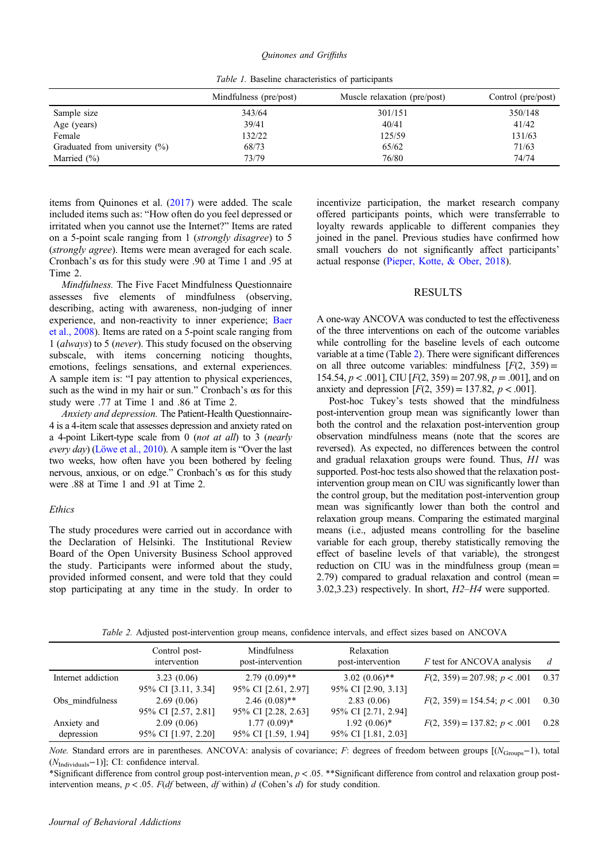Table 1. Baseline characteristics of participants

<span id="page-3-0"></span>

|                                  | Mindfulness (pre/post) | Muscle relaxation (pre/post) | Control (pre/post) |
|----------------------------------|------------------------|------------------------------|--------------------|
| Sample size                      | 343/64                 | 301/151                      | 350/148            |
| Age (years)                      | 39/41                  | 40/41                        | 41/42              |
| Female                           | 132/22                 | 125/59                       | 131/63             |
| Graduated from university $(\%)$ | 68/73                  | 65/62                        | 71/63              |
| Married $(\% )$                  | 73/79                  | 76/80                        | 74/74              |

items from Quinones et al. [\(2017](#page-6-0)) were added. The scale included items such as: "How often do you feel depressed or irritated when you cannot use the Internet?" Items are rated on a 5-point scale ranging from 1 (strongly disagree) to 5 (strongly agree). Items were mean averaged for each scale. Cronbach's αs for this study were .90 at Time 1 and .95 at Time 2.

Mindfulness. The Five Facet Mindfulness Questionnaire assesses five elements of mindfulness (observing, describing, acting with awareness, non-judging of inner experience, and non-reactivity to inner experience; [Baer](#page-5-0) [et al., 2008](#page-5-0)). Items are rated on a 5-point scale ranging from 1 (always) to 5 (never). This study focused on the observing subscale, with items concerning noticing thoughts, emotions, feelings sensations, and external experiences. A sample item is: "I pay attention to physical experiences, such as the wind in my hair or sun." Cronbach's αs for this study were .77 at Time 1 and .86 at Time 2.

Anxiety and depression. The Patient-Health Questionnaire-4 is a 4-item scale that assesses depression and anxiety rated on a 4-point Likert-type scale from 0 (not at all) to 3 (nearly every day) [\(Löwe et al., 2010](#page-6-0)). A sample item is "Over the last two weeks, how often have you been bothered by feeling nervous, anxious, or on edge." Cronbach's αs for this study were .88 at Time 1 and .91 at Time 2.

#### Ethics

The study procedures were carried out in accordance with the Declaration of Helsinki. The Institutional Review Board of the Open University Business School approved the study. Participants were informed about the study, provided informed consent, and were told that they could stop participating at any time in the study. In order to

incentivize participation, the market research company offered participants points, which were transferrable to loyalty rewards applicable to different companies they joined in the panel. Previous studies have confirmed how small vouchers do not significantly affect participants' actual response [\(Pieper, Kotte, & Ober, 2018](#page-6-0)).

### RESULTS

A one-way ANCOVA was conducted to test the effectiveness of the three interventions on each of the outcome variables while controlling for the baseline levels of each outcome variable at a time (Table 2). There were significant differences on all three outcome variables: mindfulness  $[F(2, 359) =$ 154.54,  $p < .001$ ], CIU [F(2, 359) = 207.98,  $p = .001$ ], and on anxiety and depression  $[F(2, 359) = 137.82, p < .001]$ .

Post-hoc Tukey's tests showed that the mindfulness post-intervention group mean was significantly lower than both the control and the relaxation post-intervention group observation mindfulness means (note that the scores are reversed). As expected, no differences between the control and gradual relaxation groups were found. Thus, H1 was supported. Post-hoc tests also showed that the relaxation postintervention group mean on CIU was significantly lower than the control group, but the meditation post-intervention group mean was significantly lower than both the control and relaxation group means. Comparing the estimated marginal means (i.e., adjusted means controlling for the baseline variable for each group, thereby statistically removing the effect of baseline levels of that variable), the strongest reduction on CIU was in the mindfulness group (mean  $=$ 2.79) compared to gradual relaxation and control (mean = 3.02,3.23) respectively. In short, H2–H4 were supported.

Table 2. Adjusted post-intervention group means, confidence intervals, and effect sizes based on ANCOVA

|                    | Control post-<br>intervention | Mindfulness<br>post-intervention | Relaxation<br>post-intervention | F test for ANCOVA analysis        | d    |
|--------------------|-------------------------------|----------------------------------|---------------------------------|-----------------------------------|------|
| Internet addiction | 3.23(0.06)                    | $2.79(0.09)$ **                  | $3.02(0.06)$ **                 | $F(2, 359) = 207.98$ ; $p < .001$ | 0.37 |
|                    | 95% CI [3.11, 3.34]           | 95% CI [2.61, 2.97]              | 95% CI [2.90, 3.13]             |                                   |      |
| Obs mindfulness    | 2.69(0.06)                    | $2.46(0.08)$ **                  | 2.83(0.06)                      | $F(2, 359) = 154.54$ ; $p < .001$ | 0.30 |
|                    | 95% CI [2.57, 2.81]           | 95% CI [2.28, 2.63]              | 95% CI [2.71, 2.94]             |                                   |      |
| Anxiety and        | 2.09(0.06)                    | $1.77(0.09)^*$                   | $1.92(0.06)^*$                  | $F(2, 359) = 137.82$ ; $p < .001$ | 0.28 |
| depression         | 95% CI [1.97, 2.20]           | 95% CI [1.59, 1.94]              | 95% CI [1.81, 2.03]             |                                   |      |

*Note.* Standard errors are in parentheses. ANCOVA: analysis of covariance; F: degrees of freedom between groups  $[(N_{\text{Gromon}}-1)]$ , total (NIndividuals−1)]; CI: confidence interval.

\*Significant difference from control group post-intervention mean,  $p < 0.05$ . \*\*Significant difference from control and relaxation group postintervention means,  $p < .05$ .  $F(df$  between,  $df$  within) d (Cohen's d) for study condition.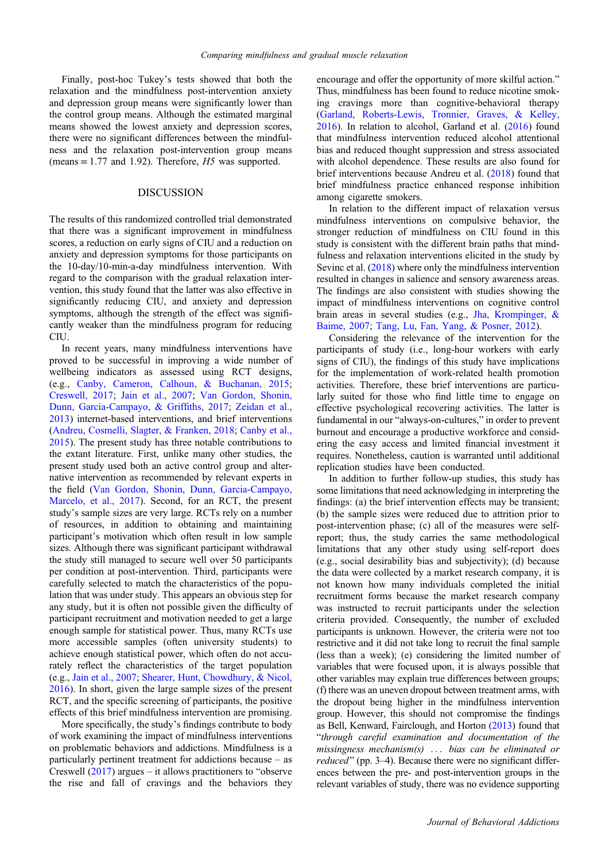Finally, post-hoc Tukey's tests showed that both the relaxation and the mindfulness post-intervention anxiety and depression group means were significantly lower than the control group means. Although the estimated marginal means showed the lowest anxiety and depression scores, there were no significant differences between the mindfulness and the relaxation post-intervention group means (means = 1.77 and 1.92). Therefore,  $H5$  was supported.

#### DISCUSSION

The results of this randomized controlled trial demonstrated that there was a significant improvement in mindfulness scores, a reduction on early signs of CIU and a reduction on anxiety and depression symptoms for those participants on the 10-day/10-min-a-day mindfulness intervention. With regard to the comparison with the gradual relaxation intervention, this study found that the latter was also effective in significantly reducing CIU, and anxiety and depression symptoms, although the strength of the effect was significantly weaker than the mindfulness program for reducing CIU.

In recent years, many mindfulness interventions have proved to be successful in improving a wide number of wellbeing indicators as assessed using RCT designs, (e.g., [Canby, Cameron, Calhoun, & Buchanan, 2015;](#page-5-0) [Creswell, 2017;](#page-5-0) [Jain et al., 2007](#page-5-0); [Van Gordon, Shonin,](#page-6-0) [Dunn, Garcia-Campayo, & Grif](#page-6-0)fiths, 2017; [Zeidan et al.,](#page-6-0) [2013](#page-6-0)) internet-based interventions, and brief interventions [\(Andreu, Cosmelli, Slagter, & Franken, 2018](#page-5-0); [Canby et al.,](#page-5-0) [2015](#page-5-0)). The present study has three notable contributions to the extant literature. First, unlike many other studies, the present study used both an active control group and alternative intervention as recommended by relevant experts in the field ([Van Gordon, Shonin, Dunn, Garcia-Campayo,](#page-6-0) [Marcelo, et al., 2017\)](#page-6-0). Second, for an RCT, the present study's sample sizes are very large. RCTs rely on a number of resources, in addition to obtaining and maintaining participant's motivation which often result in low sample sizes. Although there was significant participant withdrawal the study still managed to secure well over 50 participants per condition at post-intervention. Third, participants were carefully selected to match the characteristics of the population that was under study. This appears an obvious step for any study, but it is often not possible given the difficulty of participant recruitment and motivation needed to get a large enough sample for statistical power. Thus, many RCTs use more accessible samples (often university students) to achieve enough statistical power, which often do not accurately reflect the characteristics of the target population (e.g., [Jain et al., 2007;](#page-5-0) [Shearer, Hunt, Chowdhury, & Nicol,](#page-6-0) [2016](#page-6-0)). In short, given the large sample sizes of the present RCT, and the specific screening of participants, the positive effects of this brief mindfulness intervention are promising.

More specifically, the study's findings contribute to body of work examining the impact of mindfulness interventions on problematic behaviors and addictions. Mindfulness is a particularly pertinent treatment for addictions because – as Creswell [\(2017](#page-5-0)) argues – it allows practitioners to "observe the rise and fall of cravings and the behaviors they

encourage and offer the opportunity of more skilful action." Thus, mindfulness has been found to reduce nicotine smoking cravings more than cognitive-behavioral therapy ([Garland, Roberts-Lewis, Tronnier, Graves, & Kelley,](#page-5-0) [2016\)](#page-5-0). In relation to alcohol, Garland et al. ([2016\)](#page-5-0) found that mindfulness intervention reduced alcohol attentional bias and reduced thought suppression and stress associated with alcohol dependence. These results are also found for brief interventions because Andreu et al. ([2018\)](#page-5-0) found that brief mindfulness practice enhanced response inhibition among cigarette smokers.

In relation to the different impact of relaxation versus mindfulness interventions on compulsive behavior, the stronger reduction of mindfulness on CIU found in this study is consistent with the different brain paths that mindfulness and relaxation interventions elicited in the study by Sevinc et al. ([2018\)](#page-6-0) where only the mindfulness intervention resulted in changes in salience and sensory awareness areas. The findings are also consistent with studies showing the impact of mindfulness interventions on cognitive control brain areas in several studies (e.g., [Jha, Krompinger, &](#page-6-0) [Baime, 2007;](#page-6-0) [Tang, Lu, Fan, Yang, & Posner, 2012\)](#page-6-0).

Considering the relevance of the intervention for the participants of study (i.e., long-hour workers with early signs of CIU), the findings of this study have implications for the implementation of work-related health promotion activities. Therefore, these brief interventions are particularly suited for those who find little time to engage on effective psychological recovering activities. The latter is fundamental in our "always-on-cultures," in order to prevent burnout and encourage a productive workforce and considering the easy access and limited financial investment it requires. Nonetheless, caution is warranted until additional replication studies have been conducted.

In addition to further follow-up studies, this study has some limitations that need acknowledging in interpreting the findings: (a) the brief intervention effects may be transient; (b) the sample sizes were reduced due to attrition prior to post-intervention phase; (c) all of the measures were selfreport; thus, the study carries the same methodological limitations that any other study using self-report does (e.g., social desirability bias and subjectivity); (d) because the data were collected by a market research company, it is not known how many individuals completed the initial recruitment forms because the market research company was instructed to recruit participants under the selection criteria provided. Consequently, the number of excluded participants is unknown. However, the criteria were not too restrictive and it did not take long to recruit the final sample (less than a week); (e) considering the limited number of variables that were focused upon, it is always possible that other variables may explain true differences between groups; (f) there was an uneven dropout between treatment arms, with the dropout being higher in the mindfulness intervention group. However, this should not compromise the findings as Bell, Kenward, Fairclough, and Horton [\(2013\)](#page-5-0) found that "through careful examination and documentation of the missingness mechanism $(s)$  ... bias can be eliminated or reduced" (pp. 3–4). Because there were no significant differences between the pre- and post-intervention groups in the relevant variables of study, there was no evidence supporting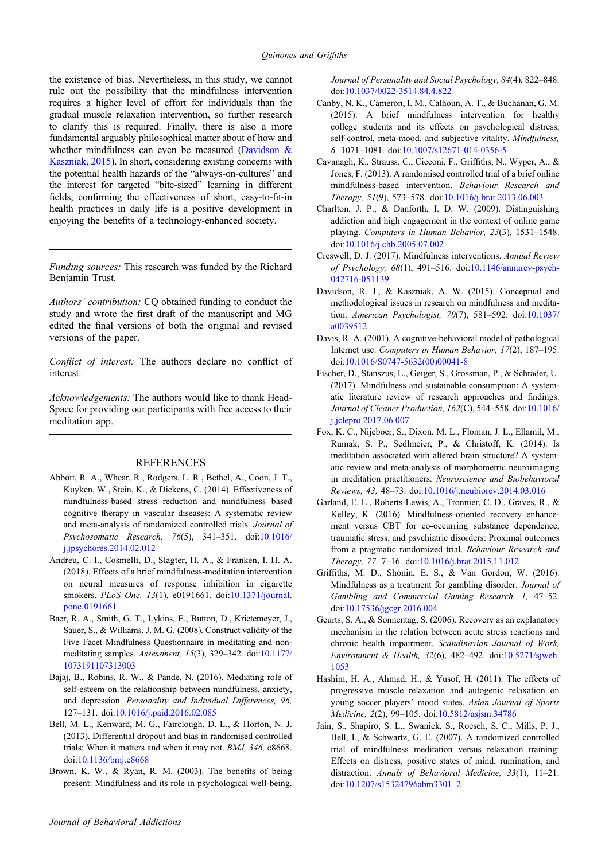<span id="page-5-0"></span>the existence of bias. Nevertheless, in this study, we cannot rule out the possibility that the mindfulness intervention requires a higher level of effort for individuals than the gradual muscle relaxation intervention, so further research to clarify this is required. Finally, there is also a more fundamental arguably philosophical matter about of how and whether mindfulness can even be measured (Davidson & Kaszniak, 2015). In short, considering existing concerns with the potential health hazards of the "always-on-cultures" and the interest for targeted "bite-sized" learning in different fields, confirming the effectiveness of short, easy-to-fit-in health practices in daily life is a positive development in enjoying the benefits of a technology-enhanced society.

Funding sources: This research was funded by the Richard Benjamin Trust.

Authors' contribution: CQ obtained funding to conduct the study and wrote the first draft of the manuscript and MG edited the final versions of both the original and revised versions of the paper.

Conflict of interest: The authors declare no conflict of interest.

Acknowledgements: The authors would like to thank Head-Space for providing our participants with free access to their meditation app.

#### REFERENCES

- Abbott, R. A., Whear, R., Rodgers, L. R., Bethel, A., Coon, J. T., Kuyken, W., Stein, K., & Dickens, C. (2014). Effectiveness of mindfulness-based stress reduction and mindfulness based cognitive therapy in vascular diseases: A systematic review and meta-analysis of randomized controlled trials. Journal of Psychosomatic Research, 76(5), 341–351. doi:[10.1016/](http://dx.doi.org/10.1016/j.jpsychores.2014.02.012) [j.jpsychores.2014.02.012](http://dx.doi.org/10.1016/j.jpsychores.2014.02.012)
- Andreu, C. I., Cosmelli, D., Slagter, H. A., & Franken, I. H. A. (2018). Effects of a brief mindfulness-meditation intervention on neural measures of response inhibition in cigarette smokers. PLoS One, 13(1), e0191661. doi[:10.1371/journal.](http://dx.doi.org/10.1371/journal.pone.0191661) [pone.0191661](http://dx.doi.org/10.1371/journal.pone.0191661)
- Baer, R. A., Smith, G. T., Lykins, E., Button, D., Krietemeyer, J., Sauer, S., & Williams, J. M. G. (2008). Construct validity of the Five Facet Mindfulness Questionnaire in meditating and nonmeditating samples. Assessment, 15(3), 329–342. doi:[10.1177/](http://dx.doi.org/10.1177/1073191107313003) [1073191107313003](http://dx.doi.org/10.1177/1073191107313003)
- Bajaj, B., Robins, R. W., & Pande, N. (2016). Mediating role of self-esteem on the relationship between mindfulness, anxiety, and depression. Personality and Individual Differences, 96, 127–131. doi:[10.1016/j.paid.2016.02.085](http://dx.doi.org/10.1016/j.paid.2016.02.085)
- Bell, M. L., Kenward, M. G., Fairclough, D. L., & Horton, N. J. (2013). Differential dropout and bias in randomised controlled trials: When it matters and when it may not. BMJ, 346, e8668. doi:[10.1136/bmj.e8668](http://dx.doi.org/10.1136/bmj.e8668)
- Brown, K. W., & Ryan, R. M. (2003). The benefits of being present: Mindfulness and its role in psychological well-being.

Journal of Personality and Social Psychology, 84(4), 822–848. doi[:10.1037/0022-3514.84.4.822](http://dx.doi.org/10.1037/0022-3514.84.4.822)

- Canby, N. K., Cameron, I. M., Calhoun, A. T., & Buchanan, G. M. (2015). A brief mindfulness intervention for healthy college students and its effects on psychological distress, self-control, meta-mood, and subjective vitality. Mindfulness, 6, 1071–1081. doi[:10.1007/s12671-014-0356-5](http://dx.doi.org/10.1007/s12671-014-0356-5)
- Cavanagh, K., Strauss, C., Cicconi, F., Griffiths, N., Wyper, A., & Jones, F. (2013). A randomised controlled trial of a brief online mindfulness-based intervention. Behaviour Research and Therapy, 51(9), 573–578. doi[:10.1016/j.brat.2013.06.003](http://dx.doi.org/10.1016/j.brat.2013.06.003)
- Charlton, J. P., & Danforth, I. D. W. (2009). Distinguishing addiction and high engagement in the context of online game playing. Computers in Human Behavior, 23(3), 1531–1548. doi[:10.1016/j.chb.2005.07.002](http://dx.doi.org/10.1016/j.chb.2005.07.002)
- Creswell, D. J. (2017). Mindfulness interventions. Annual Review of Psychology, 68(1), 491–516. doi:[10.1146/annurev-psych-](http://dx.doi.org/10.1146/annurev-psych-042716-051139)[042716-051139](http://dx.doi.org/10.1146/annurev-psych-042716-051139)
- Davidson, R. J., & Kaszniak, A. W. (2015). Conceptual and methodological issues in research on mindfulness and meditation. American Psychologist, 70(7), 581–592. doi[:10.1037/](http://dx.doi.org/10.1037/a0039512) [a0039512](http://dx.doi.org/10.1037/a0039512)
- Davis, R. A. (2001). A cognitive-behavioral model of pathological Internet use. Computers in Human Behavior, 17(2), 187–195. doi[:10.1016/S0747-5632\(00\)00041-8](http://dx.doi.org/10.1016/S0747-5632(00)00041-8)
- Fischer, D., Stanszus, L., Geiger, S., Grossman, P., & Schrader, U. (2017). Mindfulness and sustainable consumption: A systematic literature review of research approaches and findings. Journal of Cleaner Production, 162(C), 544–558. doi[:10.1016/](http://dx.doi.org/10.1016/j.jclepro.2017.06.007) [j.jclepro.2017.06.007](http://dx.doi.org/10.1016/j.jclepro.2017.06.007)
- Fox, K. C., Nijeboer, S., Dixon, M. L., Floman, J. L., Ellamil, M., Rumak, S. P., Sedlmeier, P., & Christoff, K. (2014). Is meditation associated with altered brain structure? A systematic review and meta-analysis of morphometric neuroimaging in meditation practitioners. Neuroscience and Biobehavioral Reviews, 43, 48–73. doi[:10.1016/j.neubiorev.2014.03.016](http://dx.doi.org/10.1016/j.neubiorev.2014.03.016)
- Garland, E. L., Roberts-Lewis, A., Tronnier, C. D., Graves, R., & Kelley, K. (2016). Mindfulness-oriented recovery enhancement versus CBT for co-occurring substance dependence, traumatic stress, and psychiatric disorders: Proximal outcomes from a pragmatic randomized trial. Behaviour Research and Therapy, 77, 7–16. doi[:10.1016/j.brat.2015.11.012](http://dx.doi.org/10.1016/j.brat.2015.11.012)
- Griffiths, M. D., Shonin, E. S., & Van Gordon, W. (2016). Mindfulness as a treatment for gambling disorder. Journal of Gambling and Commercial Gaming Research, 1, 47–52. doi[:10.17536/jgcgr.2016.004](http://dx.doi.org/10.17536/jgcgr.2016.004)
- Geurts, S. A., & Sonnentag, S. (2006). Recovery as an explanatory mechanism in the relation between acute stress reactions and chronic health impairment. Scandinavian Journal of Work, Environment & Health, 32(6), 482–492. doi[:10.5271/sjweh.](http://dx.doi.org/10.5271/sjweh.1053) [1053](http://dx.doi.org/10.5271/sjweh.1053)
- Hashim, H. A., Ahmad, H., & Yusof, H. (2011). The effects of progressive muscle relaxation and autogenic relaxation on young soccer players' mood states. Asian Journal of Sports Medicine, 2(2), 99–105. doi[:10.5812/asjsm.34786](http://dx.doi.org/10.5812/asjsm.34786)
- Jain, S., Shapiro, S. L., Swanick, S., Roesch, S. C., Mills, P. J., Bell, I., & Schwartz, G. E. (2007). A randomized controlled trial of mindfulness meditation versus relaxation training: Effects on distress, positive states of mind, rumination, and distraction. Annals of Behavioral Medicine, 33(1), 11–21. doi[:10.1207/s15324796abm3301\\_2](http://dx.doi.org/10.1207/s15324796abm3301_2)